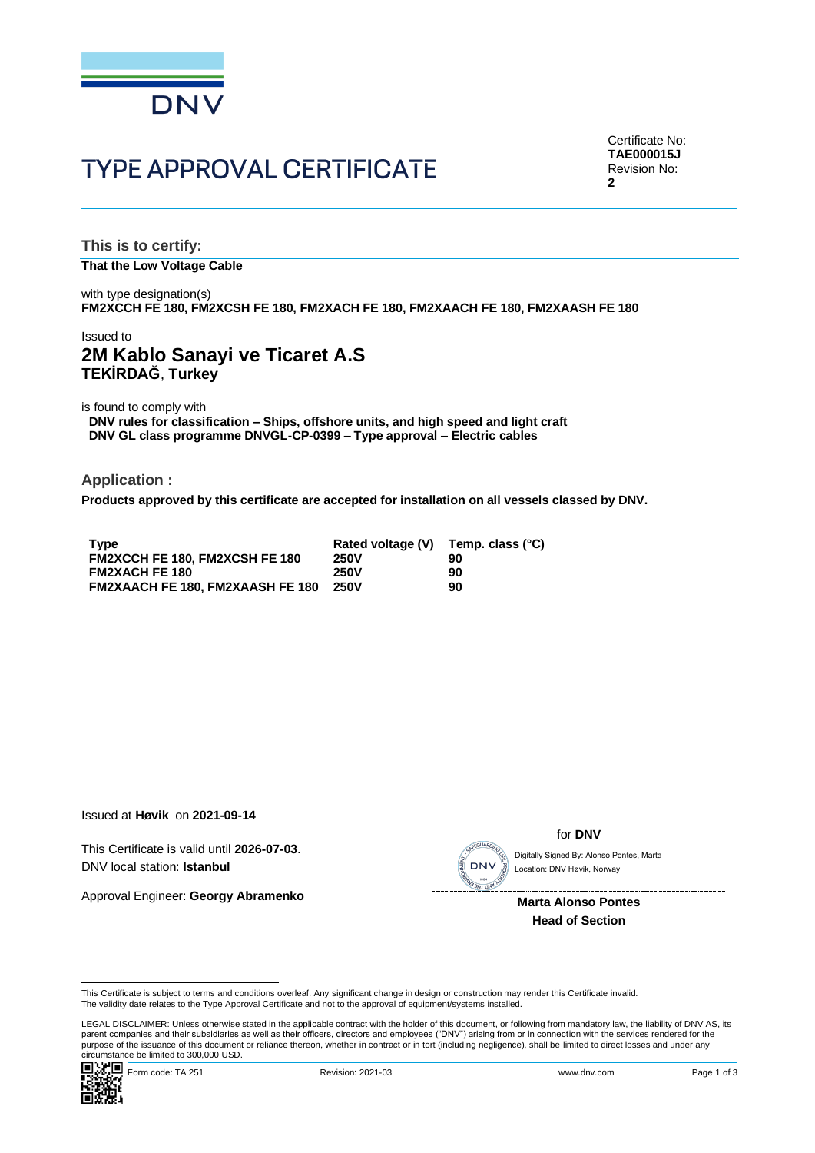

# **TYPE APPROVAL CERTIFICATE**

Certificate No: **TAE000015J** Revision No: **2**

**This is to certify: That the Low Voltage Cable**

with type designation(s) **FM2XCCH FE 180, FM2XCSH FE 180, FM2XACH FE 180, FM2XAACH FE 180, FM2XAASH FE 180**

### Issued to **2M Kablo Sanayi ve Ticaret A.S TEKİRDAĞ**, **Turkey**

is found to comply with

**DNV rules for classification – Ships, offshore units, and high speed and light craft DNV GL class programme DNVGL-CP-0399 – Type approval – Electric cables**

**Application :**

**Products approved by this certificate are accepted for installation on all vessels classed by DNV.**

| <b>Type</b>                             | Rated voltage (V) | Temp. class (°C) |
|-----------------------------------------|-------------------|------------------|
| <b>FM2XCCH FE 180. FM2XCSH FE 180</b>   | <b>250V</b>       | 90               |
| <b>FM2XACH FE 180</b>                   | <b>250V</b>       | 90               |
| <b>FM2XAACH FE 180. FM2XAASH FE 180</b> | <b>250V</b>       | 90               |

Issued at **Høvik** on **2021-09-14**

This Certificate is valid until **2026-07-03**. DNV local station: **Istanbul**

Approval Engineer: **Georgy Abramenko**

for **DNV**

Location: DNV Høvik, Norway

 **Marta Alonso Pontes Head of Section**

This Certificate is subject to terms and conditions overleaf. Any significant change in design or construction may render this Certificate invalid.<br>The validity date relates to the Type Approval Certificate and not to the

LEGAL DISCLAIMER: Unless otherwise stated in the applicable contract with the holder of this document, or following from mandatory law, the liability of DNV AS, its parent companies and their subsidiaries as well as their officers, directors and employees ("DNV") arising from or in connection with the services rendered for the This Certificate is subject to terms and conditions overleaf. Any significant change in design or construction may render this Certificate invalid.<br>
This Certificate is subject to terms and conditions overleaf. Any signifi

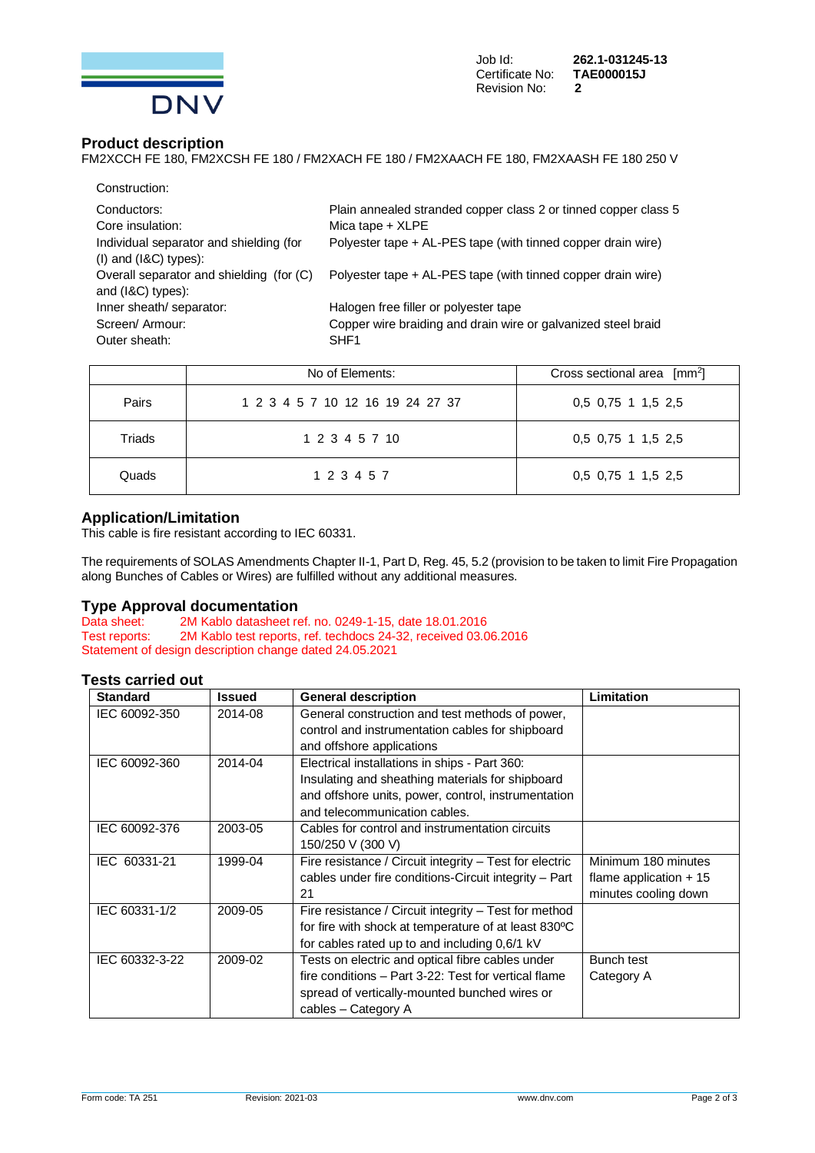

## **Product description**

FM2XCCH FE 180, FM2XCSH FE 180 / FM2XACH FE 180 / FM2XAACH FE 180, FM2XAASH FE 180 250 V

| Construction:                            |                                                                 |
|------------------------------------------|-----------------------------------------------------------------|
| Conductors:                              | Plain annealed stranded copper class 2 or tinned copper class 5 |
| Core insulation:                         | Mica tape $+$ XLPE                                              |
| Individual separator and shielding (for  | Polyester tape + AL-PES tape (with tinned copper drain wire)    |
| $(1)$ and $(18C)$ types):                |                                                                 |
| Overall separator and shielding (for (C) | Polyester tape + AL-PES tape (with tinned copper drain wire)    |
| and $(18C)$ types):                      |                                                                 |
| Inner sheath/ separator:                 | Halogen free filler or polyester tape                           |
| Screen/Armour:                           | Copper wire braiding and drain wire or galvanized steel braid   |
| Outer sheath:                            | SHF <sub>1</sub>                                                |
|                                          |                                                                 |

|        | No of Elements:                  | Cross sectional area $\lceil mm^2 \rceil$ |
|--------|----------------------------------|-------------------------------------------|
| Pairs  | 1 2 3 4 5 7 10 12 16 19 24 27 37 | 0.5 0.75 1 1.5 2.5                        |
| Triads | 1 2 3 4 5 7 10                   | 0,5 0,75 1 1,5 2,5                        |
| Quads  | 1 2 3 4 5 7                      | 0,5 0,75 1 1,5 2,5                        |

### **Application/Limitation**

This cable is fire resistant according to IEC 60331.

The requirements of SOLAS Amendments Chapter II-1, Part D, Reg. 45, 5.2 (provision to be taken to limit Fire Propagation along Bunches of Cables or Wires) are fulfilled without any additional measures.

## **Type Approval documentation**<br>Data sheet: 2M Kablo datasheet re

Data sheet: 2M Kablo datasheet ref. no. 0249-1-15, date 18.01.2016<br>Test reports: 2M Kablo test reports, ref. techdocs 24-32, received 03.0 2M Kablo test reports, ref. techdocs 24-32, received 03.06.2016 Statement of design description change dated 24.05.2021

### **Tests carried out**

| <b>Standard</b> | <b>Issued</b> | <b>General description</b>                              | Limitation              |
|-----------------|---------------|---------------------------------------------------------|-------------------------|
| IEC 60092-350   | 2014-08       | General construction and test methods of power,         |                         |
|                 |               | control and instrumentation cables for shipboard        |                         |
|                 |               | and offshore applications                               |                         |
| IEC 60092-360   | 2014-04       | Electrical installations in ships - Part 360:           |                         |
|                 |               | Insulating and sheathing materials for shipboard        |                         |
|                 |               | and offshore units, power, control, instrumentation     |                         |
|                 |               | and telecommunication cables.                           |                         |
| IEC 60092-376   | 2003-05       | Cables for control and instrumentation circuits         |                         |
|                 |               | 150/250 V (300 V)                                       |                         |
| IEC 60331-21    | 1999-04       | Fire resistance / Circuit integrity - Test for electric | Minimum 180 minutes     |
|                 |               | cables under fire conditions-Circuit integrity - Part   | flame application $+15$ |
|                 |               | 21                                                      | minutes cooling down    |
| IEC 60331-1/2   | 2009-05       | Fire resistance / Circuit integrity - Test for method   |                         |
|                 |               | for fire with shock at temperature of at least 830°C    |                         |
|                 |               | for cables rated up to and including 0,6/1 kV           |                         |
| IEC 60332-3-22  | 2009-02       | Tests on electric and optical fibre cables under        | Bunch test              |
|                 |               | fire conditions - Part 3-22: Test for vertical flame    | Category A              |
|                 |               | spread of vertically-mounted bunched wires or           |                         |
|                 |               | cables - Category A                                     |                         |